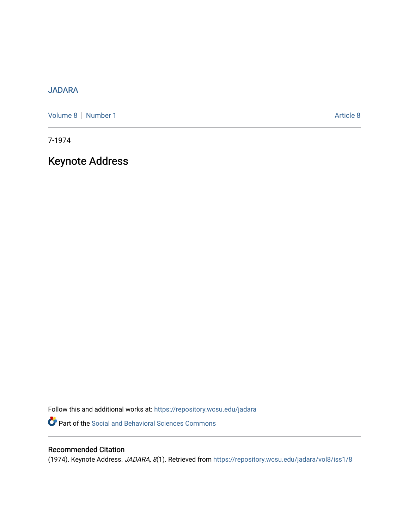# [JADARA](https://repository.wcsu.edu/jadara)

[Volume 8](https://repository.wcsu.edu/jadara/vol8) | [Number 1](https://repository.wcsu.edu/jadara/vol8/iss1) Article 8

7-1974

Keynote Address

Follow this and additional works at: [https://repository.wcsu.edu/jadara](https://repository.wcsu.edu/jadara?utm_source=repository.wcsu.edu%2Fjadara%2Fvol8%2Fiss1%2F8&utm_medium=PDF&utm_campaign=PDFCoverPages) Part of the [Social and Behavioral Sciences Commons](http://network.bepress.com/hgg/discipline/316?utm_source=repository.wcsu.edu%2Fjadara%2Fvol8%2Fiss1%2F8&utm_medium=PDF&utm_campaign=PDFCoverPages) 

# Recommended Citation

(1974). Keynote Address. JADARA, 8(1). Retrieved from [https://repository.wcsu.edu/jadara/vol8/iss1/8](https://repository.wcsu.edu/jadara/vol8/iss1/8?utm_source=repository.wcsu.edu%2Fjadara%2Fvol8%2Fiss1%2F8&utm_medium=PDF&utm_campaign=PDFCoverPages)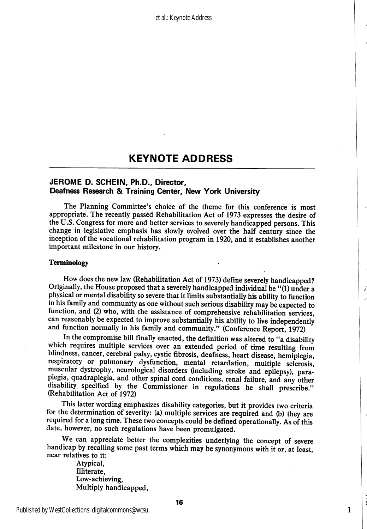### JEROME D. SCHEIN, Ph.D., Director, Deafness Research & Training Center, New York University

The Planning Committee's choice of the theme for this conference is most appropriate. The recently passed Rehabilitation Act of 1973 expresses the desire of the U.S. Congress for more and better services to severely handicapped persons. This change in legislative emphasis has slowly evolved over the half century since the inception of the vocational rehabilitation program in 1920, and it establishes another important milestone in our history.

#### Terminology

How does the new law (Rehabilitation Act of 1973) define severely handicapped? Originally, the House proposed that a severely handicapped individual be "(1) under a physical or mental disability so severe that it limits substantially his ability to function in his family and community as one without such serious disability may be expected to function, and (2) who, with the assistance of comprehensive rehabilitation services, can reasonably be expected to improve substantially his ability to live independently and function normally in his family and community." (Conference Report, 1972)

In the compromise bill finally enacted, the definition was altered to "a disability which requires multiple services over an extended period of time resulting from blindness, cancer, cerebral palsy, cystic fibrosis, deafness, heart disease, hemiplegia, respiratory or pulmonary dysfunction, mental retardation, multiple sclerosis, muscular dystrophy, neurological disorders (including stroke and epilepsy), para plegia, quadraplegia, and other spinal cord conditions, renal failure, and any other disability specified by the Commissioner in regulations he shall prescribe." (Rehabilitation Act of 1972)

This latter wording emphasizes disability categories, but it provides two criteria for the determination of severity: (a) multiple services are required and (b) they are required for a long time. These two concepts could be defined operationally. As of this date, however, no such regulations have been promulgated.

We can appreciate better the complexities underlying the concept of severe handicap by recalling some past terms which may be synonymous with it or, at least, near relatives to it:

> Atypical, Illiterate, Low-achieving, Multiply handicapped,

Published by WestCollections: digitalcommons@wcsu,

1

J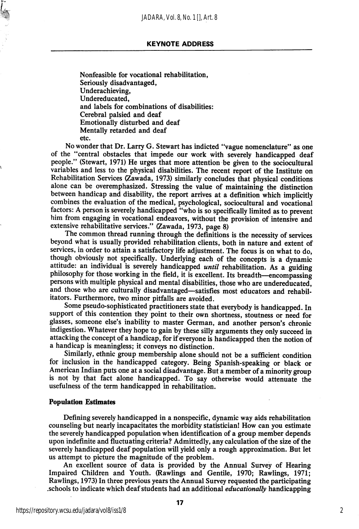Nonfeasible for vocational rehabilitation, Seriously disadvantaged, Underachieving, Undereducated, and labels for combinations of disabilities: Cerebral palsied and deaf Emotionally disturbed and deaf Mentally retarded and deaf etc.

No wonder that Dr. Larry G. Stewart has indicted "vague nomenclature" as one of the "central obstacles that impede our work with severely handicapped deaf people." (Stewart, 1971) He urges that more attention be given to the sociocultural variables and less to the physical disabilities. The recent report of the Institute on Rehabilitation Services (Zawada, 1973) similarly concludes that physical conditions alone can be overemphasized. Stressing the value of maintaining the distinction between handicap and disability, the report arrives at a definition which implicitly combines the evaluation of the medical, psychological, sociocultural and vocational factors: A person is severely handicapped "who is so specifically limited as to prevent him from engaging in vocational endeavors, without the provision of intensive and extensive rehabilitative services." (Zawada, 1973, page 8)

The common thread running through the definitions is the necessity of services beyond what is usually provided rehabilitation clients, both in nature and extent of services, in order to attain a satisfactory life adjustment. The focus is on what to do, though obviously not specifically. Underlying each of the concepts is a dynamic attitude: an individual is severely handicapped *until* rehabilitation. As a guiding philosophy for those working in the field, it is excellent. Its breadth—encompassing persons with multiple physical and mental disabilities, those who are undereducated, and those who are culturally disadvantaged—satisfies most educators and rehabilitators. Furthermore, two minor pitfalls are avoided.

Some pseudo-sophisticated practitioners state that everybody is handicapped. In support of this contention they point to their own shortness, stoutness or need for glasses, someone else's inability to master German, and another person's chronic indigestion. Whatever they hope to gain by these silly arguments they only succeed in attacking the concept of a handicap, for if everyone is handicapped then the notion of a handicap is meaningless; it conveys no distinction.

Similarly, ethnic group membership alone should not be a sufficient condition for inclusion in the handicapped category. Being Spanish-speaking or black or American Indian puts one at a social disadvantage. But a member of a minority group is not by that fact alone handicapped. To say otherwise would attenuate the usefulness of the term handicapped in rehabilitation.

#### Population Estimates

Defining severely handicapped in a nonspecific, dynamic way aids rehabilitation counseling but nearly incapacitates the morbidity statistician! How can you estimate the severely handicapped population when identification of a group member depends upon indefinite and fluctuating criteria? Admittedly, any calculation of the size of the severely handicapped deaf population will yield only a rough approximation. But let us attempt to picture the magnitude of the problem.

An excellent source of data is provided by the Annual Survey of Hearing Impaired Children and Youth. (Rawlings and Gentile, 1970; Rawlings, 1971; Rawlings, 1973) In three previous years the Annual Survey requested the participating .schools to indicate which deaf students had an additional educationally handicapping

2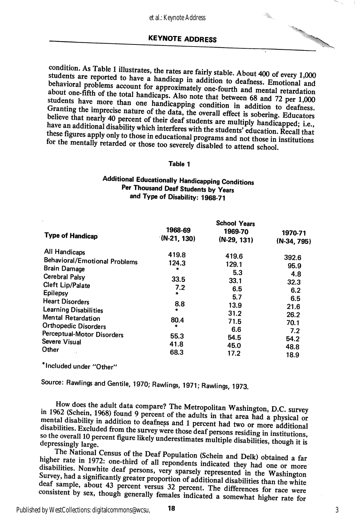ŧ.

condition. As Table 1 illustrates, the rates are fairly stable. About 400 of every 1,000 students are reported to have a handicap in addition to deafness. Emotional and behavioral problems account for approximately one-fo these figures apply only to those in educational programs and not those in institutions<br>for the mentally retarded or those too severely disabled to attend school.

#### Table 1

## Additional Educationally Handicapping Conditions Per Thousand Deaf Students by Years and Type of Disability: 1968-71

|                                                             | <b>School Years</b>      |                          |                          |  |
|-------------------------------------------------------------|--------------------------|--------------------------|--------------------------|--|
| <b>Type of Handicap</b>                                     | 1968-69<br>$(N-21, 130)$ | 1969-70<br>$(N-29, 131)$ | 1970-71<br>$(N-34, 795)$ |  |
| All Handicaps                                               | 419.8                    | 419.6                    | 392.6                    |  |
| <b>Behavioral/Emotional Problems</b><br><b>Brain Damage</b> | 124.3<br>$\frac{1}{2}$   | 129.1                    | 95.9                     |  |
| <b>Cerebral Palsy</b>                                       |                          | 5.3                      | 4.8                      |  |
| Cleft Lip/Palate                                            | 33.5<br>7.2              | 33.1<br>6.5              | 32.3                     |  |
| Epilepsy                                                    | ₩.                       | 5.7                      | 6.2<br>6.5               |  |
| <b>Heart Disorders</b><br><b>Learning Disabilities</b>      | 8.8<br>÷                 | 13.9                     | 21.6                     |  |
| Mental Retardation                                          | 80.4                     | 31.2                     | 26.2                     |  |
| <b>Orthopedic Disorders</b>                                 | ÷                        | 71.5<br>6.6              | 70.1                     |  |
| Perceptual-Motor Disorders                                  | 55.3                     | 54.5                     | 7.2<br>54.2              |  |
| Severe Visual<br>Other                                      | 41.8                     | 45.0                     | 48.8                     |  |
|                                                             | 68.3                     | 17.2                     | 18.9                     |  |

\* Included under "Other"

Source: Rawlings and Gentile, 1970; Rawlings, 1971; Rawlings, 1973.

in 1962 (Schein, 1968) found 9 percent of the adults in that area had a physical or mental disability in addition to deafness and 1 percent had two or more adHifth mental disability in addition to deafness and 1 percent had two or more additional disabilities. Excluded from the survey were those deaf persons residing in institutions, so the overall 10 percent figure likely underestim depressingly large.

The National Census of the Deaf Population (Schein and Delk) obtained a far<br>higher rate in 1972: one-third of all repondents indicated they had one or more disabilities. Nonwhite deaf persons, very sparsely represented in the Washington Survey, had a significantly greater proportion of additional disabilities than the white deaf sample, about 43 percent versus 32 percent. The differences for race were consistent by sex, though generally females indicated a somewhat higher rate for

Published by WestCollections: digitalcommons@wcsu,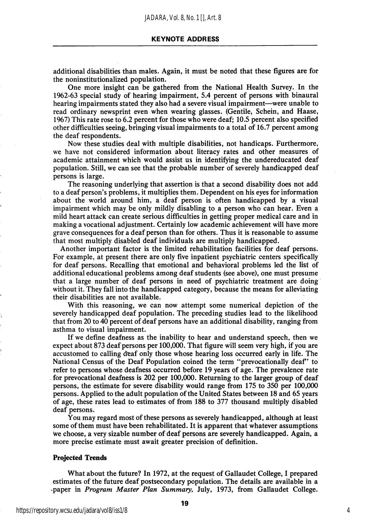additional disabilities than males. Again, it must be noted that these figures are for the noninstitutionalized population.

One more insight can be gathered from the National Health Survey. In the 1962-63 special study of hearing impairment, 5.4 percent of persons with binaural hearing impairments stated they also had a severe visual impairment—were unable to read ordinary newsprint even when wearing glasses. (Gentile, Schein, and Haase, 1967) This rate rose to 6.2 percent for those who were deaf; 10.5 percent also specified other difficulties seeing, bringing visual impairments to a total of 16.7 percent among the deaf respondents.

Now these studies deal with multiple disabilities, not handicaps. Furthermore, we have not considered information about literacy rates and other measures of academic attainment which would assist us in identifying the undereducated deaf population. Still, we can see that the probable number of severely handicapped deaf persons is large.

The reasoning underlying that assertion is that a second disability does not add to a deaf person's problems, it multiplies them. Dependent on his eyes for information about the world around him, a deaf person is often handicapped by a visual impairment which may be only mildly disabling to a person who can hear. Even a mild heart attack can create serious difficulties in getting proper medical care and in making a vocational adjustment. Certainly low academic achievement will have more grave consequences for a deaf person than for others. Thus it is reasonable to assume that most multiply disabled deaf individuals are multiply handicapped.

Another important factor is the limited rehabilitation facilities for deaf persons. For example, at present there are only five inpatient psychiatric centers specifically for deaf persons. Recalling that emotional and behavioral problems led the list of additional educational problems among deaf students (see above), one must presume that a large number of deaf persons in need of psychiatric treatment are doing without it. They fall into the handicapped category, because the means for alleviating their disabilities are not available.

With this reasoning, we can now attempt some numerical depiction of the severely handicapped deaf population. The preceding studies lead to the likelihood that from 20 to 40 percent of deaf persons have an additional disability, ranging from asthma to visual impairment.

If we define deafness as the inability to hear and understand speech, then we expect about 873 deaf persons per 100,000. That figure will seem very high, if you are accustomed to calling deaf only those whose hearing loss occurred early in life. The National Census of the Deaf Population coined the term "prevocationally deaf" to refer to persons whose deafness occurred before 19 years of age. The prevalence rate for prevocational deafness is 202 per 100,000. Returning to the larger group of deaf persons, the estimate for severe disability would range from 175 to 350 per 100,000 persons. Applied to the adult population of the United States between 18 and 65 years of age, these rates lead to estimates of from 188 to 377 thousand multiply disabled deaf persons.

You may regard most of these persons as severely handicapped, although at least some of them must have been rehabilitated. It is apparent that whatever assumptions we choose, a very sizable number of deaf persons are severely handicapped. Again, a more precise estimate must await greater precision of definition.

#### Projected Trends

What about the future? In 1972, at the request of Gallaudet College, I prepared estimates of the future deaf postsecondary population. The details are available in a paper in Program Master Plan Summary, July, 1973, from Gallaudet College.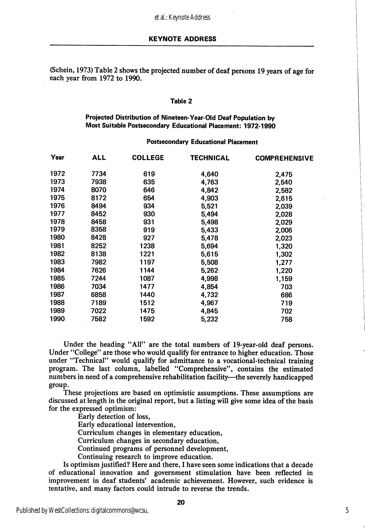(Schein, 1973) Table 2 shows the projected number of deaf persons 19 years of age for each year from 1972 to 1990.

#### Table 2

### Projected Distribution of Nineteen-Vear-OId Deaf Population by Most Suitable Postsecondary Educational Placement: 1972-1990

#### Postsecondary Educational Placement

| Year | ALL  | <b>COLLEGE</b> | TECHNICAL | <b>COMPREHENSIVE</b> |
|------|------|----------------|-----------|----------------------|
| 1972 | 7734 | 619            | 4,640     | 2,475                |
| 1973 | 7938 | 635            | 4,763     | 2,540                |
| 1974 | 8070 | 646            | 4,842     | 2,582                |
| 1975 | 8172 | 654            | 4,903     | 2,615                |
| 1976 | 8494 | 934            | 5,521     | 2,039                |
| 1977 | 8452 | 930            | 5,494     | 2,028                |
| 1978 | 8458 | 931            | 5,498     | 2,029                |
| 1979 | 8358 | 919            | 5,433     | 2,006                |
| 1980 | 8428 | 927            | 5,478     | 2,023                |
| 1981 | 8252 | 1238           | 5,694     | 1,320                |
| 1982 | 8138 | 1221           | 5,615     | 1,302                |
| 1983 | 7982 | 1197           | 5,508     | 1,277                |
| 1984 | 7626 | 1144           | 5,262     | 1,220                |
| 1985 | 7244 | 1087           | 4,998     | 1,159                |
| 1986 | 7034 | 1477           | 4,854     | 703                  |
| 1987 | 6858 | 1440           | 4,732     | 686                  |
| 1988 | 7189 | 1512           | 4,967     | 719                  |
| 1989 | 7022 | 1475           | 4,845     | 702                  |
| 1990 | 7582 | 1592           | 5,232     | 758                  |

Under the heading "All" are the total numbers of 19-year-old deaf persons. Under "College" are those who would qualify for entrance to higher education. Those under "Technical" would qualify for admittance to a vocational-technical training program. The last column, labelled "Comprehensive", contains the estimated numbers in need of a comprehensive rehabilitation facility—^the severely handicapped group.

These projections are based on optimistic assumptions. These assumptions are discussed at length in the original report, but a listing will give some idea of the basis for the expressed optimism:

Early detection of loss.

Early educational intervention.

Curriculum changes in elementary education.

Curriculum changes in secondary education.

Continued programs of personnel development.

Continuing research to improve education.

Is optimism justified? Here and there, I have seen some indications that a decade of educational innovation and government stimulation have been reflected in improvement in deaf students' academic achievement. However, such evidence is tentative, and many factors could intrude to reverse the trends.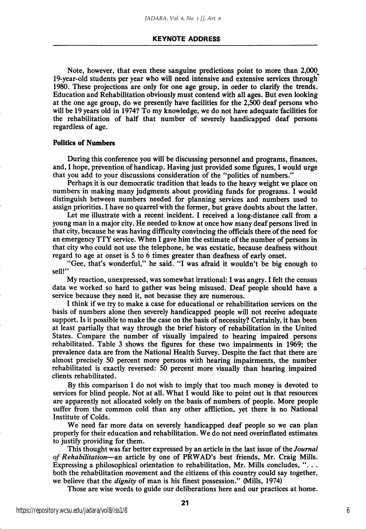Note, however, that even these sanguine predictions point to more than 2,000^ 19-year-old students per year who will need intensive and extensive services through 1980. These projections are only for one age group, in order to clarify the trends. Education and Rehabilitation obviously must contend with all ages. But even looking at the one age group, do we presently have facilities for the 2,500 deaf persons who will be 19 years old in 1974? To my knowledge, we do not have adequate facilities for the rehabilitation of half that number of severely handicapped deaf persons regardless of age.

#### Politics of Numbers

During this conference you will be discussing personnel and programs, finances, and, I hope, prevention of handicap. Having just provided some figures, I would urge that you add to your discussions consideration of the "politics of numbers."

Perhaps it is our democratic tradition that leads to the heavy weight we place on numbers in making many judgments about providing funds for programs. I would distinguish between numbers needed for planning services and numbers used to assign priorities. I have no quarrel with the former, but grave doubts about the latter.

Let me illustrate with a recent incident. I received a long-distance call from a young man in a major city. He needed to know at once how many deaf persons lived in that city, because he was having difficulty convincing the officials there of the need for an emergency TTY service. When I gave him the estimate of the number of persons in that city who could not use the telephone, he was ecstatic, because deafness without regard to age at onset is 5 to 6 times greater than deafness of early onset.

"Gee, that's wonderful," he said. "I was afraid it wouldn't be big enough to sell!"

My reaction, unexpressed, was somewhat irrational: I was angry. I felt the census data we worked so hard to gather was being misused. Deaf people should have a service because they need it, not because they are numerous.

I think if we try to make a case for educational or rehabilitation services on the basis of numbers alone then severely handicapped people will not receive adequate support. Is it possible to make the case on the basis of necessity? Certainly, it has been at least partially that way through the brief history of rehabilitation in the United States. Compare the number of visually impaired to hearing impaired persons rehabilitated. Table 3 shows the figures for these two impairments in 1969; the prevalence data are from the National Health Survey. Despite the fact that there are almost precisely 50 percent more persons with hearing impairments, the number rehabilitated is exactly reversed: 50 percent more visually than hearing impaired clients rehabilitated.

By this comparison I do not wish to imply that too much money is devoted to services for blind people. Not at all. What I would like to point out is that resources are apparently not allocated solely on the basis of numbers of people. More people suffer from the common cold than any other affliction, yet there is no National Institute of Colds.

We need far more data on severely handicapped deaf people so we can plan properly for their education and rehabilitation. We do not need overinflated estimates to justify providing for them.

This thought was far better expressed by an article in the last issue of the Journal of Rehabilitation—an article by one of PRWAD's best friends, Mr. Craig Mills. Expressing a philosophical orientation to rehabilitation, Mr. Mills concludes, " $\dots$ both the rehabilitation movement and the citizens of this country could say together, we believe that the *dignity* of man is his finest possession." (Mills, 1974)

Those are wise words to guide our deliberations here and our practices at home.